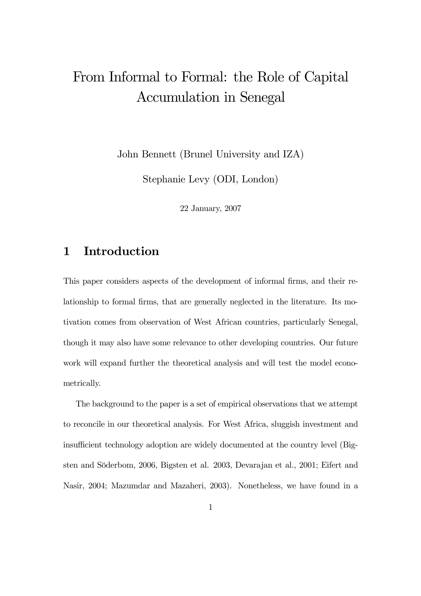# From Informal to Formal: the Role of Capital Accumulation in Senegal

John Bennett (Brunel University and IZA)

Stephanie Levy (ODI, London)

22 January, 2007

### 1 Introduction

This paper considers aspects of the development of informal firms, and their relationship to formal firms, that are generally neglected in the literature. Its motivation comes from observation of West African countries, particularly Senegal, though it may also have some relevance to other developing countries. Our future work will expand further the theoretical analysis and will test the model econometrically.

The background to the paper is a set of empirical observations that we attempt to reconcile in our theoretical analysis. For West Africa, sluggish investment and insufficient technology adoption are widely documented at the country level (Bigsten and Söderbom, 2006, Bigsten et al. 2003, Devarajan et al., 2001; Eifert and Nasir, 2004; Mazumdar and Mazaheri, 2003). Nonetheless, we have found in a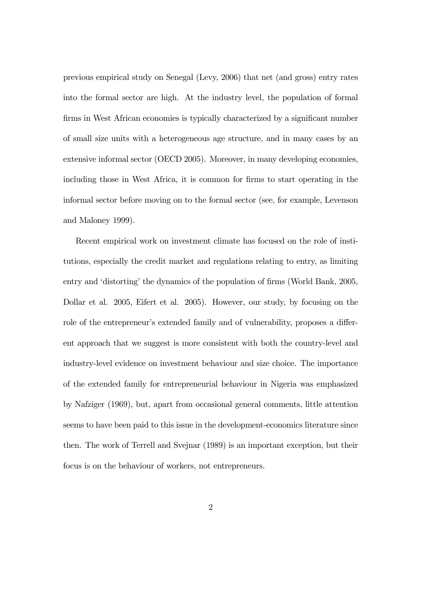previous empirical study on Senegal (Levy, 2006) that net (and gross) entry rates into the formal sector are high. At the industry level, the population of formal firms in West African economies is typically characterized by a significant number of small size units with a heterogeneous age structure, and in many cases by an extensive informal sector (OECD 2005). Moreover, in many developing economies, including those in West Africa, it is common for firms to start operating in the informal sector before moving on to the formal sector (see, for example, Levenson and Maloney 1999).

Recent empirical work on investment climate has focused on the role of institutions, especially the credit market and regulations relating to entry, as limiting entry and 'distorting' the dynamics of the population of firms (World Bank, 2005, Dollar et al. 2005, Eifert et al. 2005). However, our study, by focusing on the role of the entrepreneur's extended family and of vulnerability, proposes a different approach that we suggest is more consistent with both the country-level and industry-level evidence on investment behaviour and size choice. The importance of the extended family for entrepreneurial behaviour in Nigeria was emphasized by Nafziger (1969), but, apart from occasional general comments, little attention seems to have been paid to this issue in the development-economics literature since then. The work of Terrell and Svejnar (1989) is an important exception, but their focus is on the behaviour of workers, not entrepreneurs.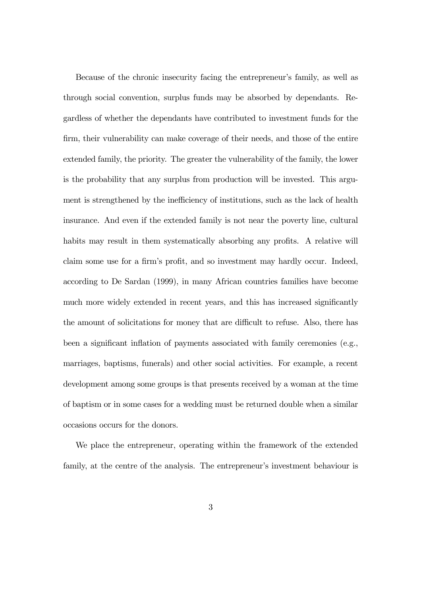Because of the chronic insecurity facing the entrepreneur's family, as well as through social convention, surplus funds may be absorbed by dependants. Regardless of whether the dependants have contributed to investment funds for the firm, their vulnerability can make coverage of their needs, and those of the entire extended family, the priority. The greater the vulnerability of the family, the lower is the probability that any surplus from production will be invested. This argument is strengthened by the inefficiency of institutions, such as the lack of health insurance. And even if the extended family is not near the poverty line, cultural habits may result in them systematically absorbing any profits. A relative will claim some use for a firm's profit, and so investment may hardly occur. Indeed, according to De Sardan (1999), in many African countries families have become much more widely extended in recent years, and this has increased significantly the amount of solicitations for money that are difficult to refuse. Also, there has been a significant inflation of payments associated with family ceremonies (e.g., marriages, baptisms, funerals) and other social activities. For example, a recent development among some groups is that presents received by a woman at the time of baptism or in some cases for a wedding must be returned double when a similar occasions occurs for the donors.

We place the entrepreneur, operating within the framework of the extended family, at the centre of the analysis. The entrepreneur's investment behaviour is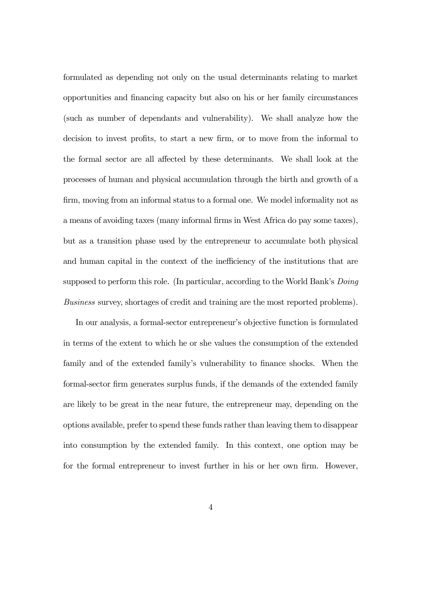formulated as depending not only on the usual determinants relating to market opportunities and financing capacity but also on his or her family circumstances (such as number of dependants and vulnerability). We shall analyze how the decision to invest profits, to start a new firm, or to move from the informal to the formal sector are all affected by these determinants. We shall look at the processes of human and physical accumulation through the birth and growth of a firm, moving from an informal status to a formal one. We model informality not as a means of avoiding taxes (many informal firms in West Africa do pay some taxes), but as a transition phase used by the entrepreneur to accumulate both physical and human capital in the context of the inefficiency of the institutions that are supposed to perform this role. (In particular, according to the World Bank's *Doing* Business survey, shortages of credit and training are the most reported problems).

In our analysis, a formal-sector entrepreneur's objective function is formulated in terms of the extent to which he or she values the consumption of the extended family and of the extended family's vulnerability to finance shocks. When the formal-sector firm generates surplus funds, if the demands of the extended family are likely to be great in the near future, the entrepreneur may, depending on the options available, prefer to spend these funds rather than leaving them to disappear into consumption by the extended family. In this context, one option may be for the formal entrepreneur to invest further in his or her own firm. However,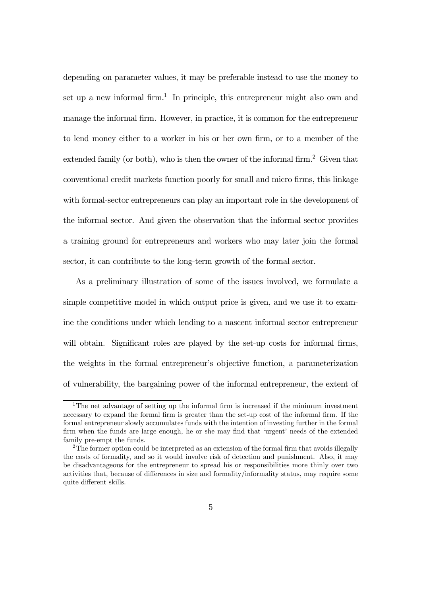depending on parameter values, it may be preferable instead to use the money to set up a new informal firm.<sup>1</sup> In principle, this entrepreneur might also own and manage the informal firm. However, in practice, it is common for the entrepreneur to lend money either to a worker in his or her own firm, or to a member of the extended family (or both), who is then the owner of the informal firm.<sup>2</sup> Given that conventional credit markets function poorly for small and micro firms, this linkage with formal-sector entrepreneurs can play an important role in the development of the informal sector. And given the observation that the informal sector provides a training ground for entrepreneurs and workers who may later join the formal sector, it can contribute to the long-term growth of the formal sector.

As a preliminary illustration of some of the issues involved, we formulate a simple competitive model in which output price is given, and we use it to examine the conditions under which lending to a nascent informal sector entrepreneur will obtain. Significant roles are played by the set-up costs for informal firms, the weights in the formal entrepreneur's objective function, a parameterization of vulnerability, the bargaining power of the informal entrepreneur, the extent of

<sup>&</sup>lt;sup>1</sup>The net advantage of setting up the informal firm is increased if the minimum investment necessary to expand the formal firm is greater than the set-up cost of the informal firm. If the formal entrepreneur slowly accumulates funds with the intention of investing further in the formal firm when the funds are large enough, he or she may find that 'urgent' needs of the extended family pre-empt the funds.

<sup>&</sup>lt;sup>2</sup>The former option could be interpreted as an extension of the formal firm that avoids illegally the costs of formality, and so it would involve risk of detection and punishment. Also, it may be disadvantageous for the entrepreneur to spread his or responsibilities more thinly over two activities that, because of differences in size and formality/informality status, may require some quite different skills.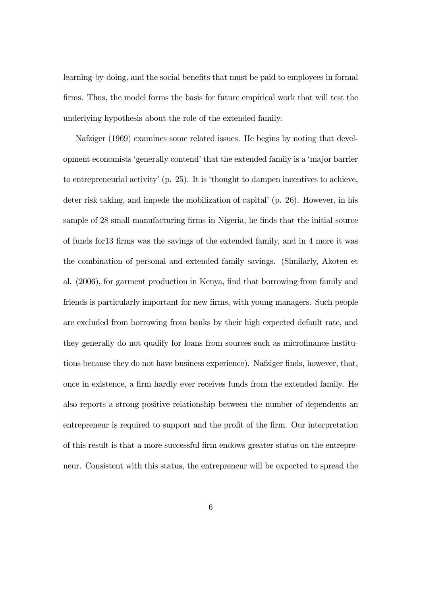learning-by-doing, and the social benefits that must be paid to employees in formal firms. Thus, the model forms the basis for future empirical work that will test the underlying hypothesis about the role of the extended family.

Nafziger (1969) examines some related issues. He begins by noting that development economists 'generally contend' that the extended family is a 'major barrier to entrepreneurial activity' (p. 25). It is 'thought to dampen incentives to achieve, deter risk taking, and impede the mobilization of capital' (p. 26). However, in his sample of 28 small manufacturing firms in Nigeria, he finds that the initial source of funds for13 firms was the savings of the extended family, and in 4 more it was the combination of personal and extended family savings. (Similarly, Akoten et al. (2006), for garment production in Kenya, find that borrowing from family and friends is particularly important for new firms, with young managers. Such people are excluded from borrowing from banks by their high expected default rate, and they generally do not qualify for loans from sources such as microfinance institutions because they do not have business experience). Nafziger finds, however, that, once in existence, a firm hardly ever receives funds from the extended family. He also reports a strong positive relationship between the number of dependents an entrepreneur is required to support and the profit of the firm. Our interpretation of this result is that a more successful firm endows greater status on the entrepreneur. Consistent with this status, the entrepreneur will be expected to spread the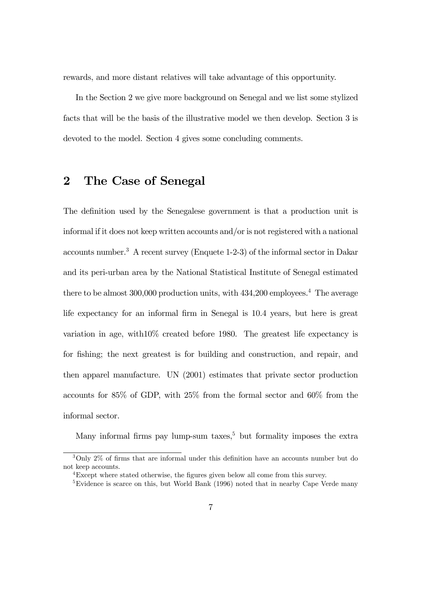rewards, and more distant relatives will take advantage of this opportunity.

In the Section 2 we give more background on Senegal and we list some stylized facts that will be the basis of the illustrative model we then develop. Section 3 is devoted to the model. Section 4 gives some concluding comments.

### 2 The Case of Senegal

The definition used by the Senegalese government is that a production unit is informal if it does not keep written accounts and/or is not registered with a national accounts number.3 A recent survey (Enquete 1-2-3) of the informal sector in Dakar and its peri-urban area by the National Statistical Institute of Senegal estimated there to be almost  $300,000$  production units, with  $434,200$  employees.<sup>4</sup> The average life expectancy for an informal firm in Senegal is 10.4 years, but here is great variation in age, with10% created before 1980. The greatest life expectancy is for fishing; the next greatest is for building and construction, and repair, and then apparel manufacture. UN (2001) estimates that private sector production accounts for 85% of GDP, with 25% from the formal sector and 60% from the informal sector.

Many informal firms pay lump-sum taxes,<sup>5</sup> but formality imposes the extra

<sup>3</sup>Only 2% of firms that are informal under this definition have an accounts number but do not keep accounts.

<sup>4</sup>Except where stated otherwise, the figures given below all come from this survey.

<sup>&</sup>lt;sup>5</sup>Evidence is scarce on this, but World Bank (1996) noted that in nearby Cape Verde many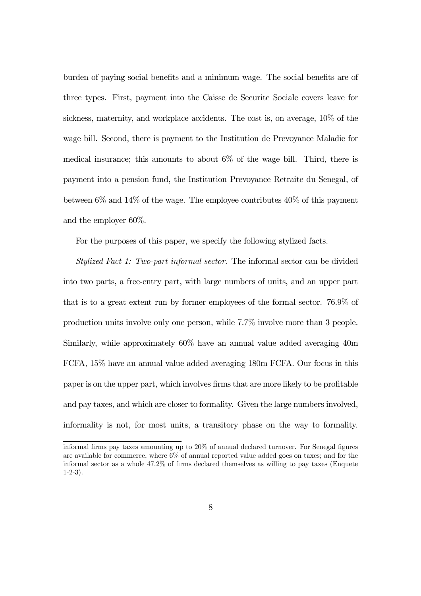burden of paying social benefits and a minimum wage. The social benefits are of three types. First, payment into the Caisse de Securite Sociale covers leave for sickness, maternity, and workplace accidents. The cost is, on average, 10% of the wage bill. Second, there is payment to the Institution de Prevoyance Maladie for medical insurance; this amounts to about 6% of the wage bill. Third, there is payment into a pension fund, the Institution Prevoyance Retraite du Senegal, of between  $6\%$  and  $14\%$  of the wage. The employee contributes  $40\%$  of this payment and the employer 60%.

For the purposes of this paper, we specify the following stylized facts.

Stylized Fact 1: Two-part informal sector. The informal sector can be divided into two parts, a free-entry part, with large numbers of units, and an upper part that is to a great extent run by former employees of the formal sector. 76.9% of production units involve only one person, while 7.7% involve more than 3 people. Similarly, while approximately 60% have an annual value added averaging 40m FCFA, 15% have an annual value added averaging 180m FCFA. Our focus in this paper is on the upper part, which involves firms that are more likely to be profitable and pay taxes, and which are closer to formality. Given the large numbers involved, informality is not, for most units, a transitory phase on the way to formality.

informal firms pay taxes amounting up to 20% of annual declared turnover. For Senegal figures are available for commerce, where 6% of annual reported value added goes on taxes; and for the informal sector as a whole 47.2% of firms declared themselves as willing to pay taxes (Enquete 1-2-3).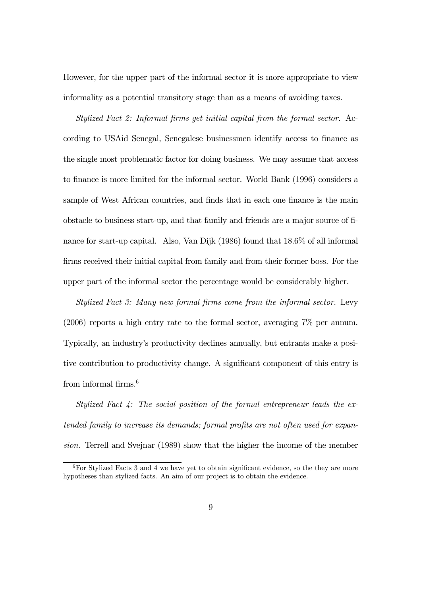However, for the upper part of the informal sector it is more appropriate to view informality as a potential transitory stage than as a means of avoiding taxes.

Stylized Fact 2: Informal firms get initial capital from the formal sector. According to USAid Senegal, Senegalese businessmen identify access to finance as the single most problematic factor for doing business. We may assume that access to finance is more limited for the informal sector. World Bank (1996) considers a sample of West African countries, and finds that in each one finance is the main obstacle to business start-up, and that family and friends are a major source of finance for start-up capital. Also, Van Dijk (1986) found that 18.6% of all informal firms received their initial capital from family and from their former boss. For the upper part of the informal sector the percentage would be considerably higher.

Stylized Fact 3: Many new formal firms come from the informal sector. Levy (2006) reports a high entry rate to the formal sector, averaging 7% per annum. Typically, an industry's productivity declines annually, but entrants make a positive contribution to productivity change. A significant component of this entry is from informal firms.<sup>6</sup>

Stylized Fact 4: The social position of the formal entrepreneur leads the extended family to increase its demands; formal profits are not often used for expansion. Terrell and Svejnar (1989) show that the higher the income of the member

<sup>6</sup>For Stylized Facts 3 and 4 we have yet to obtain significant evidence, so the they are more hypotheses than stylized facts. An aim of our project is to obtain the evidence.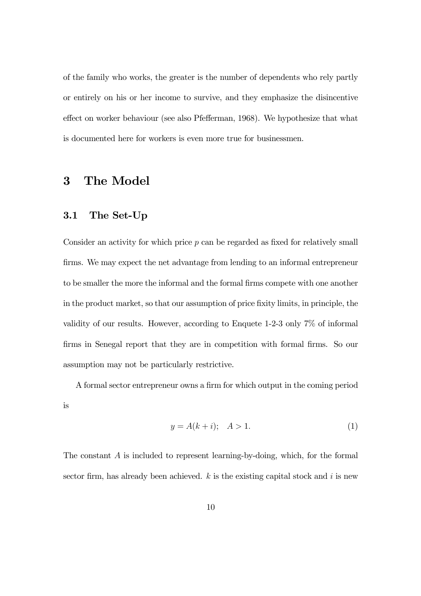of the family who works, the greater is the number of dependents who rely partly or entirely on his or her income to survive, and they emphasize the disincentive effect on worker behaviour (see also Pfefferman, 1968). We hypothesize that what is documented here for workers is even more true for businessmen.

#### 3 The Model

#### 3.1 The Set-Up

Consider an activity for which price  $p$  can be regarded as fixed for relatively small firms. We may expect the net advantage from lending to an informal entrepreneur to be smaller the more the informal and the formal firms compete with one another in the product market, so that our assumption of price fixity limits, in principle, the validity of our results. However, according to Enquete 1-2-3 only 7% of informal firms in Senegal report that they are in competition with formal firms. So our assumption may not be particularly restrictive.

A formal sector entrepreneur owns a firm for which output in the coming period is

$$
y = A(k+i); \quad A > 1. \tag{1}
$$

The constant A is included to represent learning-by-doing, which, for the formal sector firm, has already been achieved.  $k$  is the existing capital stock and  $i$  is new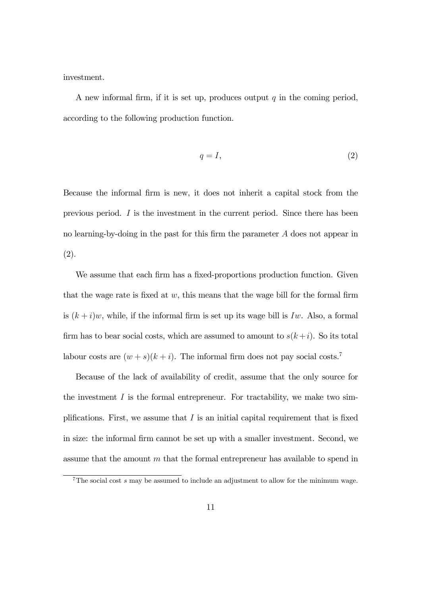investment.

A new informal firm, if it is set up, produces output  $q$  in the coming period, according to the following production function.

$$
q = I,\tag{2}
$$

Because the informal firm is new, it does not inherit a capital stock from the previous period.  $I$  is the investment in the current period. Since there has been no learning-by-doing in the past for this firm the parameter A does not appear in (2).

We assume that each firm has a fixed-proportions production function. Given that the wage rate is fixed at  $w$ , this means that the wage bill for the formal firm is  $(k + i)w$ , while, if the informal firm is set up its wage bill is Iw. Also, a formal firm has to bear social costs, which are assumed to amount to  $s(k+i)$ . So its total labour costs are  $(w + s)(k + i)$ . The informal firm does not pay social costs.<sup>7</sup>

Because of the lack of availability of credit, assume that the only source for the investment  $I$  is the formal entrepreneur. For tractability, we make two simplifications. First, we assume that  $I$  is an initial capital requirement that is fixed in size: the informal firm cannot be set up with a smaller investment. Second, we assume that the amount  $m$  that the formal entrepreneur has available to spend in

 $7$ The social cost s may be assumed to include an adjustment to allow for the minimum wage.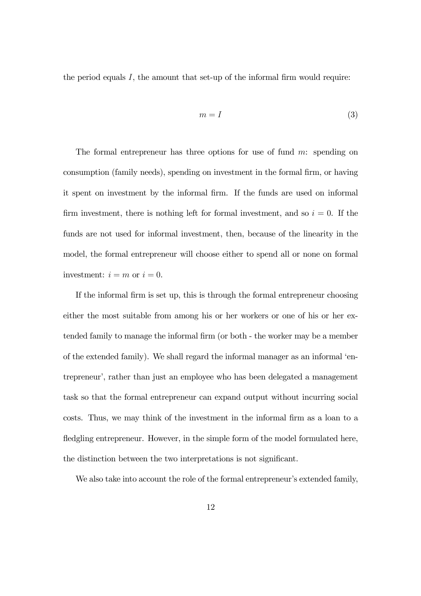the period equals  $I$ , the amount that set-up of the informal firm would require:

$$
m = I \tag{3}
$$

The formal entrepreneur has three options for use of fund  $m$ : spending on consumption (family needs), spending on investment in the formal firm, or having it spent on investment by the informal firm. If the funds are used on informal firm investment, there is nothing left for formal investment, and so  $i = 0$ . If the funds are not used for informal investment, then, because of the linearity in the model, the formal entrepreneur will choose either to spend all or none on formal investment:  $i = m$  or  $i = 0$ .

If the informal firm is set up, this is through the formal entrepreneur choosing either the most suitable from among his or her workers or one of his or her extended family to manage the informal firm (or both - the worker may be a member of the extended family). We shall regard the informal manager as an informal 'entrepreneur', rather than just an employee who has been delegated a management task so that the formal entrepreneur can expand output without incurring social costs. Thus, we may think of the investment in the informal firm as a loan to a fledgling entrepreneur. However, in the simple form of the model formulated here, the distinction between the two interpretations is not significant.

We also take into account the role of the formal entrepreneur's extended family,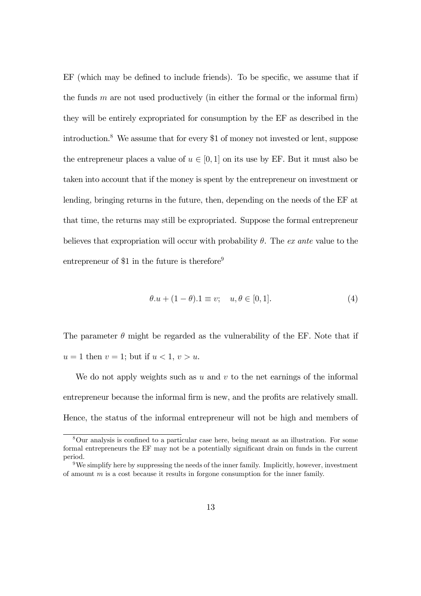EF (which may be defined to include friends). To be specific, we assume that if the funds  $m$  are not used productively (in either the formal or the informal firm) they will be entirely expropriated for consumption by the EF as described in the introduction.8 We assume that for every \$1 of money not invested or lent, suppose the entrepreneur places a value of  $u \in [0, 1]$  on its use by EF. But it must also be taken into account that if the money is spent by the entrepreneur on investment or lending, bringing returns in the future, then, depending on the needs of the EF at that time, the returns may still be expropriated. Suppose the formal entrepreneur believes that expropriation will occur with probability  $\theta$ . The ex ante value to the entrepreneur of \$1 in the future is therefore<sup>9</sup>

$$
\theta.u + (1 - \theta).1 \equiv v; \quad u, \theta \in [0, 1]. \tag{4}
$$

The parameter  $\theta$  might be regarded as the vulnerability of the EF. Note that if  $u = 1$  then  $v = 1$ ; but if  $u < 1$ ,  $v > u$ .

We do not apply weights such as u and v to the net earnings of the informal entrepreneur because the informal firm is new, and the profits are relatively small. Hence, the status of the informal entrepreneur will not be high and members of

<sup>8</sup>Our analysis is confined to a particular case here, being meant as an illustration. For some formal entrepreneurs the EF may not be a potentially significant drain on funds in the current period.

 $9W$ e simplify here by suppressing the needs of the inner family. Implicitly, however, investment of amount  $m$  is a cost because it results in forgone consumption for the inner family.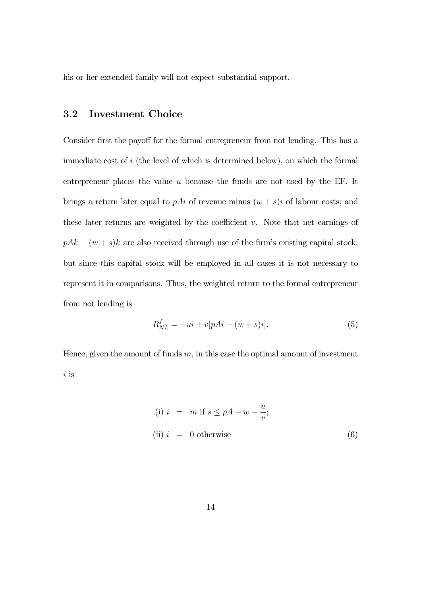his or her extended family will not expect substantial support.

#### 3.2 Investment Choice

Consider first the payoff for the formal entrepreneur from not lending. This has a immediate cost of i (the level of which is determined below), on which the formal entrepreneur places the value u because the funds are not used by the EF. It brings a return later equal to  $pAi$  of revenue minus  $(w + s)i$  of labour costs; and these later returns are weighted by the coefficient  $v$ . Note that net earnings of  $pAk - (w + s)k$  are also received through use of the firm's existing capital stock; but since this capital stock will be employed in all cases it is not necessary to represent it in comparisons. Thus, the weighted return to the formal entrepreneur from not lending is

$$
R_{NL}^{f} = -ui + v[pAi - (w + s)i].
$$
 (5)

Hence, given the amount of funds  $m$ , in this case the optimal amount of investment i is

(i) 
$$
i = m
$$
 if  $s \leq pA - w - \frac{u}{v}$ ;  
(ii)  $i = 0$  otherwise (6)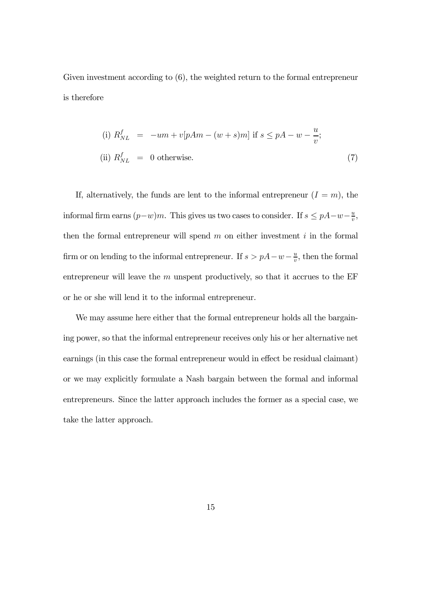Given investment according to  $(6)$ , the weighted return to the formal entrepreneur is therefore

(i) 
$$
R_{NL}^f = -um + v[pAm - (w + s)m]
$$
 if  $s \leq pA - w - \frac{u}{v}$ ;  
(ii)  $R_{NL}^f = 0$  otherwise. (7)

If, alternatively, the funds are lent to the informal entrepreneur  $(I = m)$ , the informal firm earns  $(p-w)m$ . This gives us two cases to consider. If  $s \leq pA-w-\frac{u}{v}$ , then the formal entrepreneur will spend  $m$  on either investment  $i$  in the formal firm or on lending to the informal entrepreneur. If  $s > pA - w - \frac{u}{v}$ , then the formal entrepreneur will leave the  $m$  unspent productively, so that it accrues to the EF or he or she will lend it to the informal entrepreneur.

We may assume here either that the formal entrepreneur holds all the bargaining power, so that the informal entrepreneur receives only his or her alternative net earnings (in this case the formal entrepreneur would in effect be residual claimant) or we may explicitly formulate a Nash bargain between the formal and informal entrepreneurs. Since the latter approach includes the former as a special case, we take the latter approach.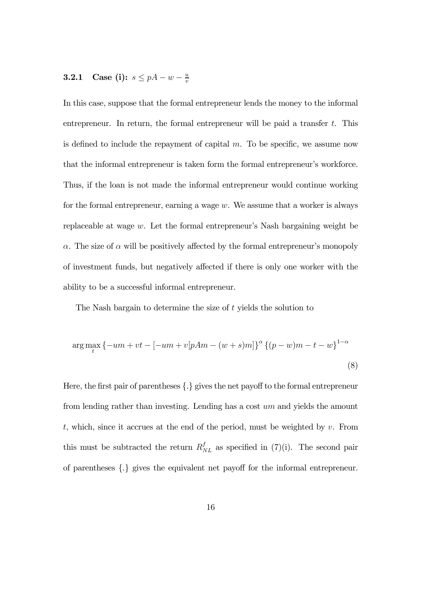# **3.2.1** Case (i):  $s \leq pA - w - \frac{u}{v}$

In this case, suppose that the formal entrepreneur lends the money to the informal entrepreneur. In return, the formal entrepreneur will be paid a transfer  $t$ . This is defined to include the repayment of capital  $m$ . To be specific, we assume now that the informal entrepreneur is taken form the formal entrepreneur's workforce. Thus, if the loan is not made the informal entrepreneur would continue working for the formal entrepreneur, earning a wage  $w$ . We assume that a worker is always replaceable at wage w. Let the formal entrepreneur's Nash bargaining weight be  $\alpha$ . The size of  $\alpha$  will be positively affected by the formal entrepreneur's monopoly of investment funds, but negatively affected if there is only one worker with the ability to be a successful informal entrepreneur.

The Nash bargain to determine the size of t yields the solution to

$$
\arg \max_{t} \{-um + vt - [-um + v[pAm - (w + s)m]\}^{\alpha} \{(p - w)m - t - w\}^{1 - \alpha}
$$
\n(8)

Here, the first pair of parentheses {.} gives the net payoff to the formal entrepreneur from lending rather than investing. Lending has a cost um and yields the amount t, which, since it accrues at the end of the period, must be weighted by  $v$ . From this must be subtracted the return  $R_{NL}^f$  as specified in (7)(i). The second pair of parentheses {.} gives the equivalent net payoff for the informal entrepreneur.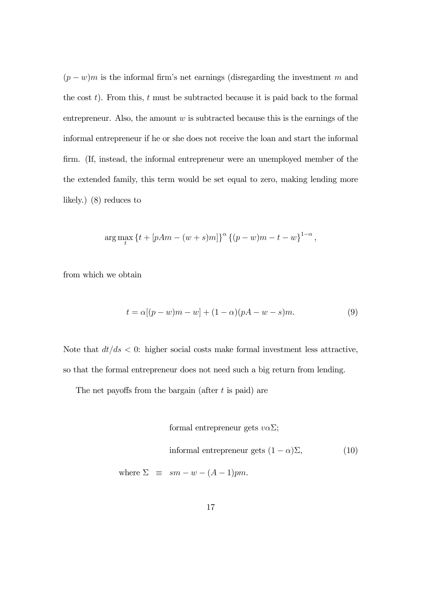$(p - w)m$  is the informal firm's net earnings (disregarding the investment m and the cost  $t$ ). From this,  $t$  must be subtracted because it is paid back to the formal entrepreneur. Also, the amount  $w$  is subtracted because this is the earnings of the informal entrepreneur if he or she does not receive the loan and start the informal firm. (If, instead, the informal entrepreneur were an unemployed member of the the extended family, this term would be set equal to zero, making lending more likely.) (8) reduces to

$$
\arg \max_{t} \left\{ t + [pAm - (w+s)m] \right\}^{\alpha} \left\{ (p-w)m - t - w \right\}^{1-\alpha},
$$

from which we obtain

$$
t = \alpha[(p - w)m - w] + (1 - \alpha)(pA - w - s)m.
$$
 (9)

Note that  $dt/ds < 0$ : higher social costs make formal investment less attractive, so that the formal entrepreneur does not need such a big return from lending.

The net payoffs from the bargain (after  $t$  is paid) are

formal antrepreneur gets 
$$
v\alpha\Sigma
$$
; informal entrepreneur gets  $(1 - \alpha)\Sigma$ , (10) where  $\Sigma \equiv sm - w - (A - 1)pm$ .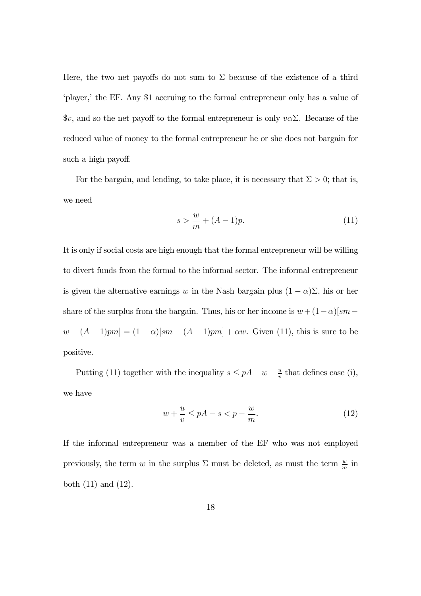Here, the two net payoffs do not sum to  $\Sigma$  because of the existence of a third 'player,' the EF. Any \$1 accruing to the formal entrepreneur only has a value of  $\mathcal{F}v$ , and so the net payoff to the formal entrepreneur is only  $v\alpha\Sigma$ . Because of the reduced value of money to the formal entrepreneur he or she does not bargain for such a high payoff.

For the bargain, and lending, to take place, it is necessary that  $\Sigma > 0$ ; that is, we need

$$
s > \frac{w}{m} + (A - 1)p.\tag{11}
$$

It is only if social costs are high enough that the formal entrepreneur will be willing to divert funds from the formal to the informal sector. The informal entrepreneur is given the alternative earnings w in the Nash bargain plus  $(1 - \alpha)\Sigma$ , his or her share of the surplus from the bargain. Thus, his or her income is  $w + (1 - \alpha)[sm$  $w - (A - 1)pm] = (1 - \alpha)[sm - (A - 1)pm] + \alpha w$ . Given (11), this is sure to be positive.

Putting (11) together with the inequality  $s \leq pA - w - \frac{u}{v}$  that defines case (i), we have

$$
w + \frac{u}{v} \le pA - s < p - \frac{w}{m}.\tag{12}
$$

If the informal entrepreneur was a member of the EF who was not employed previously, the term w in the surplus  $\Sigma$  must be deleted, as must the term  $\frac{w}{m}$  in both (11) and (12).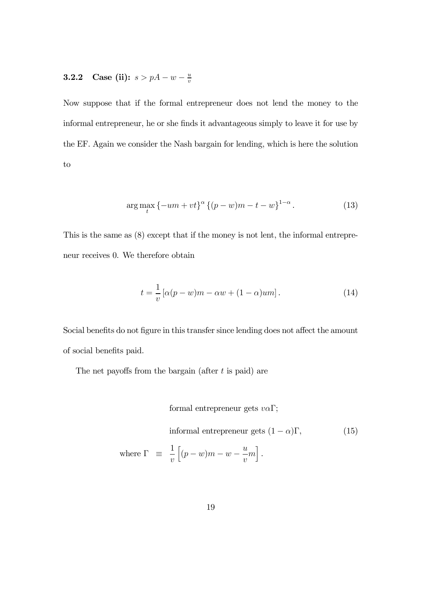# **3.2.2** Case (ii):  $s > pA - w - \frac{u}{v}$

Now suppose that if the formal entrepreneur does not lend the money to the informal entrepreneur, he or she finds it advantageous simply to leave it for use by the EF. Again we consider the Nash bargain for lending, which is here the solution to

$$
\arg \max_{t} \{-um + vt\}^{\alpha} \{(p - w)m - t - w\}^{1 - \alpha}.
$$
 (13)

This is the same as (8) except that if the money is not lent, the informal entrepreneur receives 0. We therefore obtain

$$
t = \frac{1}{v} \left[ \alpha (p - w)m - \alpha w + (1 - \alpha)um \right]. \tag{14}
$$

Social benefits do not figure in this transfer since lending does not affect the amount of social benefits paid.

The net payoffs from the bargain (after t is paid) are

formal entrepreneur gets  $v\alpha\Gamma$ ;

informal entrepreneur gets  $(1 - \alpha)\Gamma$ , (15) where  $\Gamma \equiv$ 1  $\overline{v}$  $\left[ (p-w)m-w-\frac{u}{v}\right]$  $m\big]$ .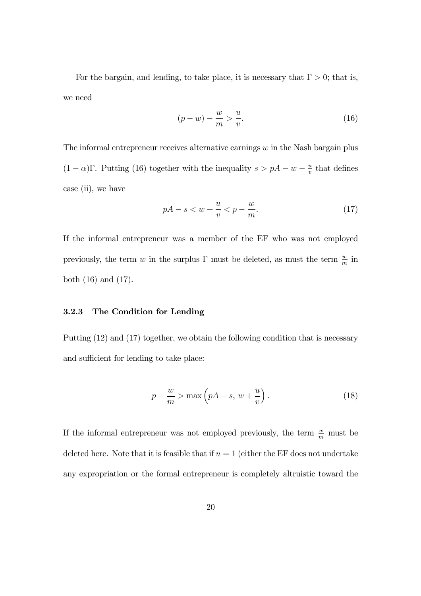For the bargain, and lending, to take place, it is necessary that  $\Gamma > 0$ ; that is, we need

$$
(p - w) - \frac{w}{m} > \frac{u}{v}.\tag{16}
$$

The informal entrepreneur receives alternative earnings  $w$  in the Nash bargain plus  $(1 - \alpha)\Gamma$ . Putting (16) together with the inequality  $s > pA - w - \frac{u}{v}$  that defines case (ii), we have

$$
pA - s < w + \frac{u}{v} < p - \frac{w}{m}.\tag{17}
$$

If the informal entrepreneur was a member of the EF who was not employed previously, the term w in the surplus  $\Gamma$  must be deleted, as must the term  $\frac{w}{m}$  in both (16) and (17).

#### 3.2.3 The Condition for Lending

Putting (12) and (17) together, we obtain the following condition that is necessary and sufficient for lending to take place:

$$
p - \frac{w}{m} > \max\left(pA - s, w + \frac{u}{v}\right). \tag{18}
$$

If the informal entrepreneur was not employed previously, the term  $\frac{w}{m}$  must be deleted here. Note that it is feasible that if  $u = 1$  (either the EF does not undertake any expropriation or the formal entrepreneur is completely altruistic toward the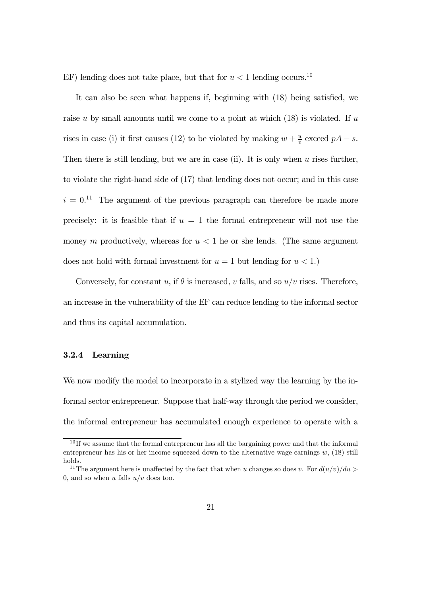EF) lending does not take place, but that for  $u < 1$  lending occurs.<sup>10</sup>

It can also be seen what happens if, beginning with (18) being satisfied, we raise u by small amounts until we come to a point at which  $(18)$  is violated. If u rises in case (i) it first causes (12) to be violated by making  $w + \frac{u}{v}$  exceed  $pA - s$ . Then there is still lending, but we are in case (ii). It is only when  $u$  rises further, to violate the right-hand side of (17) that lending does not occur; and in this case  $i = 0$ <sup>11</sup> The argument of the previous paragraph can therefore be made more precisely: it is feasible that if  $u = 1$  the formal entrepreneur will not use the money m productively, whereas for  $u < 1$  he or she lends. (The same argument does not hold with formal investment for  $u = 1$  but lending for  $u < 1$ .

Conversely, for constant u, if  $\theta$  is increased, v falls, and so  $u/v$  rises. Therefore, an increase in the vulnerability of the EF can reduce lending to the informal sector and thus its capital accumulation.

#### 3.2.4 Learning

We now modify the model to incorporate in a stylized way the learning by the informal sector entrepreneur. Suppose that half-way through the period we consider, the informal entrepreneur has accumulated enough experience to operate with a

<sup>&</sup>lt;sup>10</sup>If we assume that the formal entrepreneur has all the bargaining power and that the informal entrepreneur has his or her income squeezed down to the alternative wage earnings  $w$ , (18) still holds.

<sup>&</sup>lt;sup>11</sup>The argument here is unaffected by the fact that when u changes so does v. For  $d(u/v)/du >$ 0, and so when u falls  $u/v$  does too.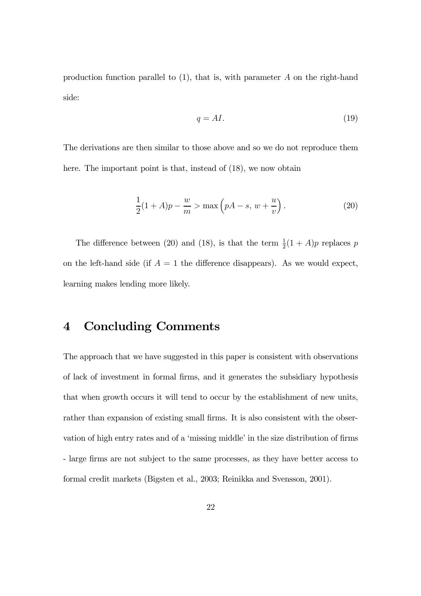production function parallel to (1), that is, with parameter A on the right-hand side:

$$
q = AI.\t(19)
$$

The derivations are then similar to those above and so we do not reproduce them here. The important point is that, instead of  $(18)$ , we now obtain

$$
\frac{1}{2}(1+A)p - \frac{w}{m} > \max\left(pA - s, w + \frac{u}{v}\right).
$$
 (20)

The difference between (20) and (18), is that the term  $\frac{1}{2}(1+A)p$  replaces p on the left-hand side (if  $A = 1$  the difference disappears). As we would expect, learning makes lending more likely.

### 4 Concluding Comments

The approach that we have suggested in this paper is consistent with observations of lack of investment in formal firms, and it generates the subsidiary hypothesis that when growth occurs it will tend to occur by the establishment of new units, rather than expansion of existing small firms. It is also consistent with the observation of high entry rates and of a 'missing middle' in the size distribution of firms - large firms are not subject to the same processes, as they have better access to formal credit markets (Bigsten et al., 2003; Reinikka and Svensson, 2001).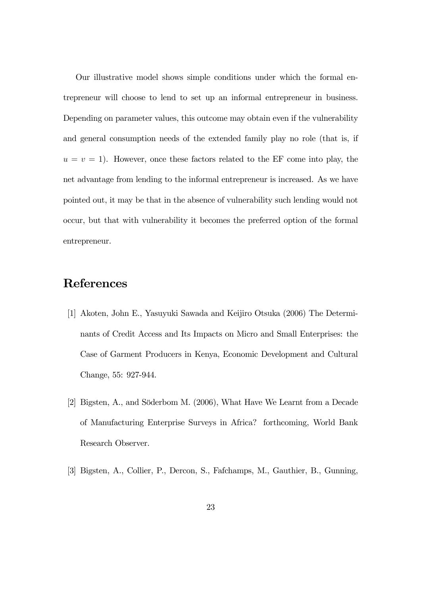Our illustrative model shows simple conditions under which the formal entrepreneur will choose to lend to set up an informal entrepreneur in business. Depending on parameter values, this outcome may obtain even if the vulnerability and general consumption needs of the extended family play no role (that is, if  $u = v = 1$ ). However, once these factors related to the EF come into play, the net advantage from lending to the informal entrepreneur is increased. As we have pointed out, it may be that in the absence of vulnerability such lending would not occur, but that with vulnerability it becomes the preferred option of the formal entrepreneur.

### References

- [1] Akoten, John E., Yasuyuki Sawada and Keijiro Otsuka (2006) The Determinants of Credit Access and Its Impacts on Micro and Small Enterprises: the Case of Garment Producers in Kenya, Economic Development and Cultural Change, 55: 927-944.
- [2] Bigsten, A., and Söderbom M. (2006), What Have We Learnt from a Decade of Manufacturing Enterprise Surveys in Africa? forthcoming, World Bank Research Observer.
- [3] Bigsten, A., Collier, P., Dercon, S., Fafchamps, M., Gauthier, B., Gunning,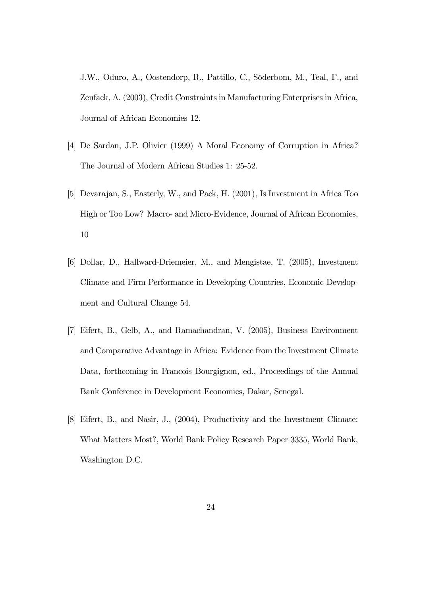J.W., Oduro, A., Oostendorp, R., Pattillo, C., Söderbom, M., Teal, F., and Zeufack, A. (2003), Credit Constraints in Manufacturing Enterprises in Africa, Journal of African Economies 12.

- [4] De Sardan, J.P. Olivier (1999) A Moral Economy of Corruption in Africa? The Journal of Modern African Studies 1: 25-52.
- [5] Devarajan, S., Easterly, W., and Pack, H. (2001), Is Investment in Africa Too High or Too Low? Macro- and Micro-Evidence, Journal of African Economies, 10
- [6] Dollar, D., Hallward-Driemeier, M., and Mengistae, T. (2005), Investment Climate and Firm Performance in Developing Countries, Economic Development and Cultural Change 54.
- [7] Eifert, B., Gelb, A., and Ramachandran, V. (2005), Business Environment and Comparative Advantage in Africa: Evidence from the Investment Climate Data, forthcoming in Francois Bourgignon, ed., Proceedings of the Annual Bank Conference in Development Economics, Dakar, Senegal.
- [8] Eifert, B., and Nasir, J., (2004), Productivity and the Investment Climate: What Matters Most?, World Bank Policy Research Paper 3335, World Bank, Washington D.C.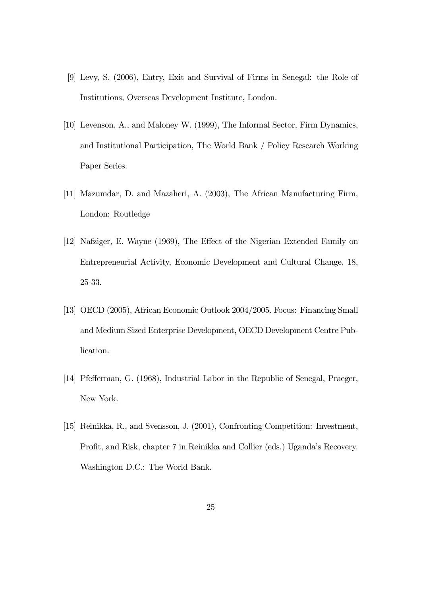- [9] Levy, S. (2006), Entry, Exit and Survival of Firms in Senegal: the Role of Institutions, Overseas Development Institute, London.
- [10] Levenson, A., and Maloney W. (1999), The Informal Sector, Firm Dynamics, and Institutional Participation, The World Bank / Policy Research Working Paper Series.
- [11] Mazumdar, D. and Mazaheri, A. (2003), The African Manufacturing Firm, London: Routledge
- [12] Nafziger, E. Wayne (1969), The Effect of the Nigerian Extended Family on Entrepreneurial Activity, Economic Development and Cultural Change, 18, 25-33.
- [13] OECD (2005), African Economic Outlook 2004/2005. Focus: Financing Small and Medium Sized Enterprise Development, OECD Development Centre Publication.
- [14] Pfefferman, G. (1968), Industrial Labor in the Republic of Senegal, Praeger, New York.
- [15] Reinikka, R., and Svensson, J. (2001), Confronting Competition: Investment, Profit, and Risk, chapter 7 in Reinikka and Collier (eds.) Uganda's Recovery. Washington D.C.: The World Bank.